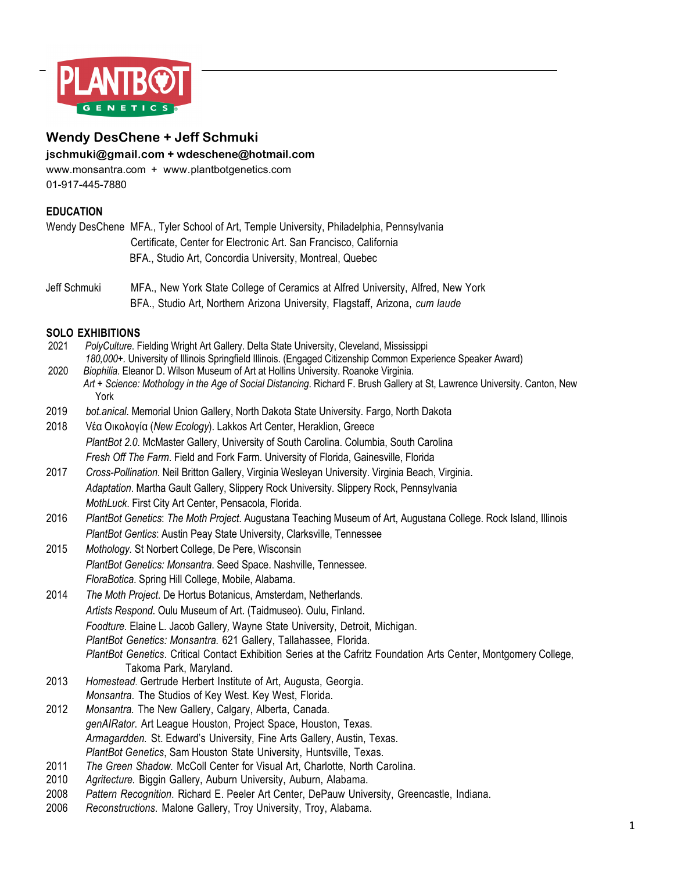

# **Wendy DesChene + Jeff Schmuki**

**jschmuki@gmail.com + wdeschene@hotmail.com**

www.monsantra.com + www.plantbotgenetics.com 01-917-445-7880

### **EDUCATION**

Wendy DesChene MFA., Tyler School of Art, Temple University, Philadelphia, Pennsylvania Certificate, Center for Electronic Art. San Francisco, California BFA., Studio Art, Concordia University, Montreal, Quebec

Jeff Schmuki MFA., New York State College of Ceramics at Alfred University, Alfred, New York BFA., Studio Art, Northern Arizona University, Flagstaff, Arizona, *cum laude*

# **SOLO EXHIBITIONS**

- 2021 *PolyCulture*. Fielding Wright Art Gallery. Delta State University, Cleveland, Mississippi *180,000+.* University of Illinois Springfield Illinois. (Engaged Citizenship Common Experience Speaker Award) 2020 *Biophilia*. Eleanor D. Wilson Museum of Art at Hollins University. Roanoke Virginia.
- *Art + Science: Mothology in the Age of Social Distancing*. Richard F. Brush Gallery at St, Lawrence University. Canton, New York
- 2019 *bot.anical*. Memorial Union Gallery, North Dakota State University. Fargo, North Dakota
- 2018 Vέα Oικολογία (*New Ecology*). Lakkos Art Center, Heraklion, Greece *PlantBot 2.0*. McMaster Gallery, University of South Carolina. Columbia, South Carolina *Fresh Off The Farm*. Field and Fork Farm. University of Florida, Gainesville, Florida
- 2017 *Cross-Pollination*. Neil Britton Gallery, Virginia Wesleyan University. Virginia Beach, Virginia. *Adaptation*. Martha Gault Gallery, Slippery Rock University. Slippery Rock, Pennsylvania *MothLuck*. First City Art Center, Pensacola, Florida.
- 2016 *PlantBot Genetics*: *The Moth Project*. Augustana Teaching Museum of Art, Augustana College. Rock Island, Illinois *PlantBot Gentics*: Austin Peay State University, Clarksville, Tennessee
- 2015 *Mothology.* St Norbert College, De Pere, Wisconsin *PlantBot Genetics: Monsantra*. Seed Space. Nashville, Tennessee. *FloraBotica*. Spring Hill College, Mobile, Alabama.
- 2014 *The Moth Project*. De Hortus Botanicus, Amsterdam, Netherlands. *Artists Respond*. Oulu Museum of Art. (Taidmuseo). Oulu, Finland. *Foodture.* Elaine L. Jacob Gallery*,* Wayne State University, Detroit, Michigan. *PlantBot Genetics: Monsantra.* 621 Gallery, Tallahassee, Florida. *PlantBot Genetics*. Critical Contact Exhibition Series at the Cafritz Foundation Arts Center, Montgomery College, Takoma Park, Maryland.
- 2013 *Homestead*. Gertrude Herbert Institute of Art, Augusta, Georgia. *Monsantra*. The Studios of Key West. Key West, Florida.
- 2012 *Monsantra.* The New Gallery, Calgary, Alberta, Canada. *genAIRator*. Art League Houston, Project Space, Houston, Texas. *Armagardden.* St. Edward's University, Fine Arts Gallery, Austin, Texas. *PlantBot Genetics*, Sam Houston State University, Huntsville, Texas.
- 2011 *The Green Shadow.* McColl Center for Visual Art, Charlotte, North Carolina.
- 2010 *Agritecture.* Biggin Gallery, Auburn University, Auburn, Alabama.
- 2008 *Pattern Recognition*. Richard E. Peeler Art Center, DePauw University, Greencastle, Indiana.
- 2006 *Reconstructions*. Malone Gallery, Troy University, Troy, Alabama.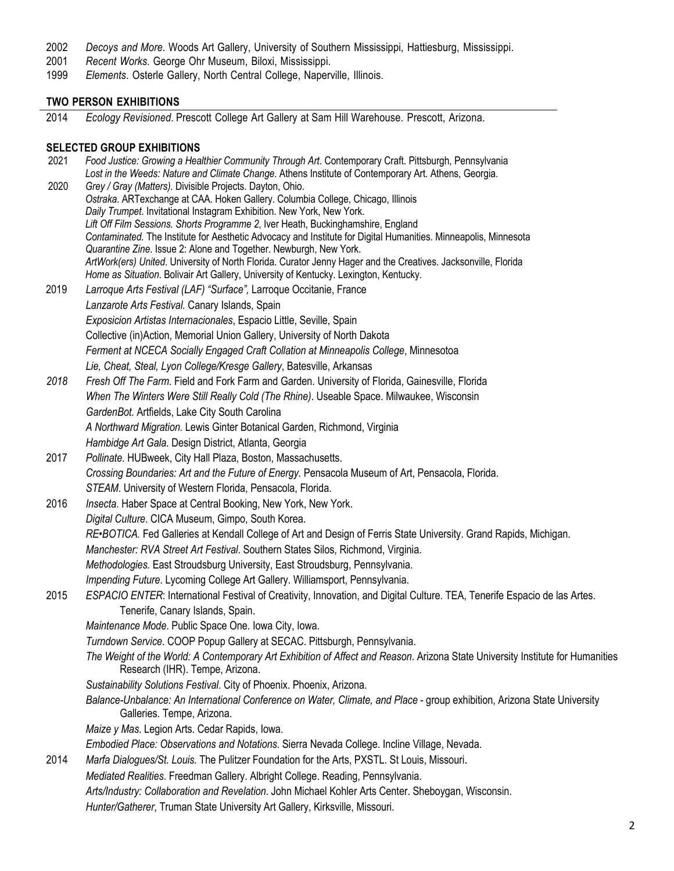- 2002 *Decoys and More*. Woods Art Gallery, University of Southern Mississippi, Hattiesburg, Mississippi.
- 2001 *Recent Works*. George Ohr Museum, Biloxi, Mississippi.
- 1999 *Elements*. Osterle Gallery, North Central College, Naperville, Illinois.

#### **TWO PERSON EXHIBITIONS**

2014 *Ecology Revisioned*. Prescott College Art Gallery at Sam Hill Warehouse. Prescott, Arizona.

#### **SELECTED GROUP EXHIBITIONS**

 2021 *Food Justice: Growing a Healthier Community Through Art*. Contemporary Craft. Pittsburgh, Pennsylvania *Lost in the Weeds: Nature and Climate Change.* Athens Institute of Contemporary Art. Athens, Georgia. 2020 *Grey / Gray (Matters).* Divisible Projects. Dayton, Ohio. *Ostraka*. ARTexchange at CAA. Hoken Gallery. Columbia College, Chicago, Illinois *Daily Trumpet*. Invitational Instagram Exhibition. New York, New York. *Lift Off Film Sessions. Shorts Programme 2*, Iver Heath, Buckinghamshire, England *Contaminated.* The Institute for Aesthetic Advocacy and Institute for Digital Humanities. Minneapolis, Minnesota *Quarantine Zine*. Issue 2: Alone and Together. Newburgh, New York. *ArtWork(ers) United*. University of North Florida. Curator Jenny Hager and the Creatives. Jacksonville, Florida *Home as Situation*. Bolivair Art Gallery, University of Kentucky. Lexington, Kentucky. 2019 *Larroque Arts Festival (LAF) "Surface",* Larroque Occitanie, France *Lanzarote Arts Festival.* Canary Islands, Spain *Exposicion Artistas Internacionales*, Espacio Little, Seville, Spain Collective (in)Action, Memorial Union Gallery, University of North Dakota *Ferment at NCECA Socially Engaged Craft Collation at Minneapolis College*, Minnesotoa *Lie, Cheat, Steal, Lyon College/Kresge Gallery*, Batesville, Arkansas *2018 Fresh Off The Farm*. Field and Fork Farm and Garden. University of Florida, Gainesville, Florida *When The Winters Were Still Really Cold (The Rhine)*. Useable Space. Milwaukee, Wisconsin *GardenBot.* Artfields, Lake City South Carolina  *A Northward Migration.* Lewis Ginter Botanical Garden, Richmond, Virginia  *Hambidge Art Gala.* Design District, Atlanta, Georgia 2017 *Pollinate*. HUBweek, City Hall Plaza, Boston, Massachusetts. *Crossing Boundaries: Art and the Future of Energy.* Pensacola Museum of Art, Pensacola, Florida. *STEAM*. University of Western Florida, Pensacola, Florida. 2016 *Insecta*. Haber Space at Central Booking, New York, New York. *Digital Culture*. CICA Museum, Gimpo, South Korea. *RE•BOTICA.* Fed Galleries at Kendall College of Art and Design of Ferris State University. Grand Rapids, Michigan. *Manchester: RVA Street Art Festival*. Southern States Silos, Richmond, Virginia. *Methodologies.* East Stroudsburg University, East Stroudsburg, Pennsylvania. *Impending Future*. Lycoming College Art Gallery. Williamsport, Pennsylvania. 2015 *ESPACIO ENTER*: International Festival of Creativity, Innovation, and Digital Culture. TEA, Tenerife Espacio de las Artes. Tenerife, Canary Islands, Spain. *Maintenance Mode*. Public Space One. Iowa City, Iowa. *Turndown Service*. COOP Popup Gallery at SECAC. Pittsburgh, Pennsylvania. *The Weight of the World: A Contemporary Art Exhibition of Affect and Reason*. Arizona State University Institute for Humanities Research (IHR). Tempe, Arizona. *Sustainability Solutions Festival*. City of Phoenix. Phoenix, Arizona. *Balance-Unbalance: An International Conference on Water, Climate, and Place* - group exhibition, Arizona State University Galleries. Tempe, Arizona. *Maize y Mas*. Legion Arts. Cedar Rapids, Iowa. *Embodied Place: Observations and Notations*. Sierra Nevada College. Incline Village, Nevada. 2014 *Marfa Dialogues/St. Louis.* The Pulitzer Foundation for the Arts, PXSTL. St Louis, Missouri. *Mediated Realities*. Freedman Gallery. Albright College. Reading, Pennsylvania. *Arts/Industry: Collaboration and Revelation*. John Michael Kohler Arts Center. Sheboygan, Wisconsin. *Hunter/Gatherer*, Truman State University Art Gallery, Kirksville, Missouri.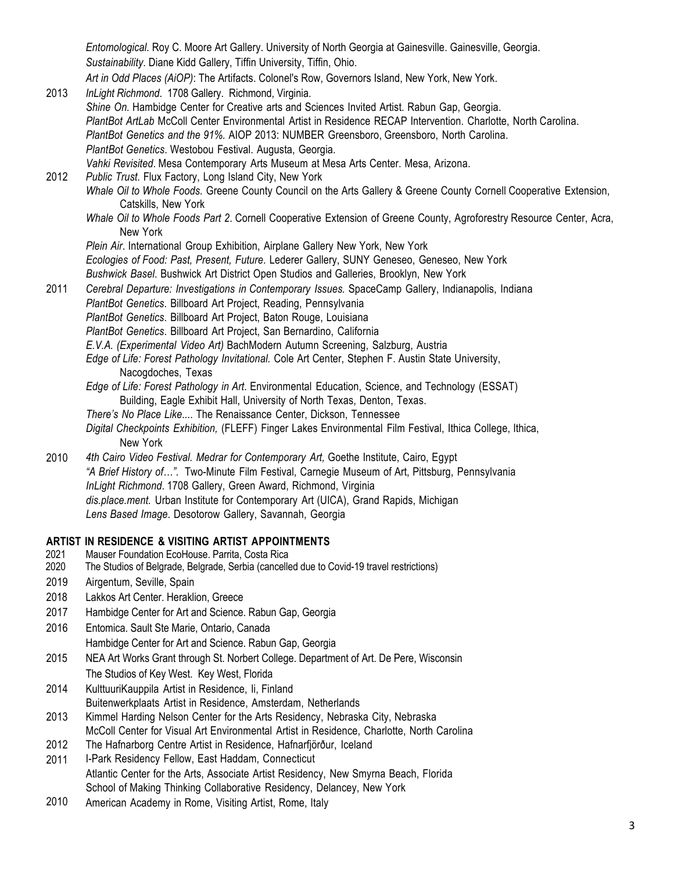*Entomological.* Roy C. Moore Art Gallery. University of North Georgia at Gainesville. Gainesville, Georgia. *Sustainability*. Diane Kidd Gallery, Tiffin University, Tiffin, Ohio. *Art in Odd Places (AiOP)*: The Artifacts. Colonel's Row, Governors Island, New York, New York.

- 2013 *InLight Richmond*. 1708 Gallery. Richmond, Virginia. *Shine On.* Hambidge Center for Creative arts and Sciences Invited Artist. Rabun Gap, Georgia. *PlantBot ArtLab* McColl Center Environmental Artist in Residence RECAP Intervention. Charlotte, North Carolina. *PlantBot Genetics and the 91%.* AIOP 2013: NUMBER Greensboro, Greensboro, North Carolina. *PlantBot Genetics*. Westobou Festival. Augusta, Georgia. *Vahki Revisited*. Mesa Contemporary Arts Museum at Mesa Arts Center. Mesa, Arizona.
- 2012 *Public Trust*. Flux Factory, Long Island City, New York *Whale Oil to Whole Foods.* Greene County Council on the Arts Gallery & Greene County Cornell Cooperative Extension, Catskills, New York
	- *Whale Oil to Whole Foods Part 2*. Cornell Cooperative Extension of Greene County, Agroforestry Resource Center, Acra, New York
	- *Plein Air*. International Group Exhibition, Airplane Gallery New York, New York
	- *Ecologies of Food: Past, Present, Future*. Lederer Gallery, SUNY Geneseo, Geneseo, New York
	- *Bushwick Basel*. Bushwick Art District Open Studios and Galleries, Brooklyn, New York
- 2011 *Cerebral Departure: Investigations in Contemporary Issues.* SpaceCamp Gallery, Indianapolis, Indiana *PlantBot Genetics*. Billboard Art Project, Reading, Pennsylvania *PlantBot Genetics*. Billboard Art Project, Baton Rouge, Louisiana
	- *PlantBot Genetics*. Billboard Art Project, San Bernardino, California
	- *E.V.A. (Experimental Video Art)* BachModern Autumn Screening, Salzburg, Austria
	- *Edge of Life: Forest Pathology Invitational*. Cole Art Center, Stephen F. Austin State University, Nacogdoches, Texas
	- *Edge of Life: Forest Pathology in Art*. Environmental Education, Science, and Technology (ESSAT) Building, Eagle Exhibit Hall, University of North Texas, Denton, Texas.
	- *There's No Place Like...*. The Renaissance Center, Dickson, Tennessee
	- *Digital Checkpoints Exhibition,* (FLEFF) Finger Lakes Environmental Film Festival, Ithica College, Ithica, New York
- 2010 *4th Cairo Video Festival. Medrar for Contemporary Art,* Goethe Institute, Cairo, Egypt *"A Brief History of…".* Two-Minute Film Festival, Carnegie Museum of Art, Pittsburg, Pennsylvania *InLight Richmond*. 1708 Gallery, Green Award, Richmond, Virginia *dis.place.ment.* Urban Institute for Contemporary Art (UICA), Grand Rapids, Michigan *Lens Based Image*. Desotorow Gallery, Savannah, Georgia

### **ARTIST IN RESIDENCE & VISITING ARTIST APPOINTMENTS**

- 2021 Mauser Foundation EcoHouse. Parrita, Costa Rica
- 2020 The Studios of Belgrade, Belgrade, Serbia (cancelled due to Covid-19 travel restrictions)
- 2019 Airgentum, Seville, Spain
- 2018 Lakkos Art Center. Heraklion, Greece
- 2017 Hambidge Center for Art and Science. Rabun Gap, Georgia
- 2016 Entomica. Sault Ste Marie, Ontario, Canada
	- Hambidge Center for Art and Science. Rabun Gap, Georgia
- 2015 NEA Art Works Grant through St. Norbert College. Department of Art. De Pere, Wisconsin The Studios of Key West. Key West, Florida
- 2014 KulttuuriKauppila Artist in Residence, Ii, Finland Buitenwerkplaats Artist in Residence, Amsterdam, Netherlands
- 2013 Kimmel Harding Nelson Center for the Arts Residency, Nebraska City, Nebraska McColl Center for Visual Art Environmental Artist in Residence, Charlotte, North Carolina
- 2012 The Hafnarborg Centre Artist in Residence, Hafnarfjörður, Iceland
- 2011 I-Park Residency Fellow, East Haddam, Connecticut Atlantic Center for the Arts, Associate Artist Residency, New Smyrna Beach, Florida School of Making Thinking Collaborative Residency, Delancey, New York
- 2010 American Academy in Rome, Visiting Artist, Rome, Italy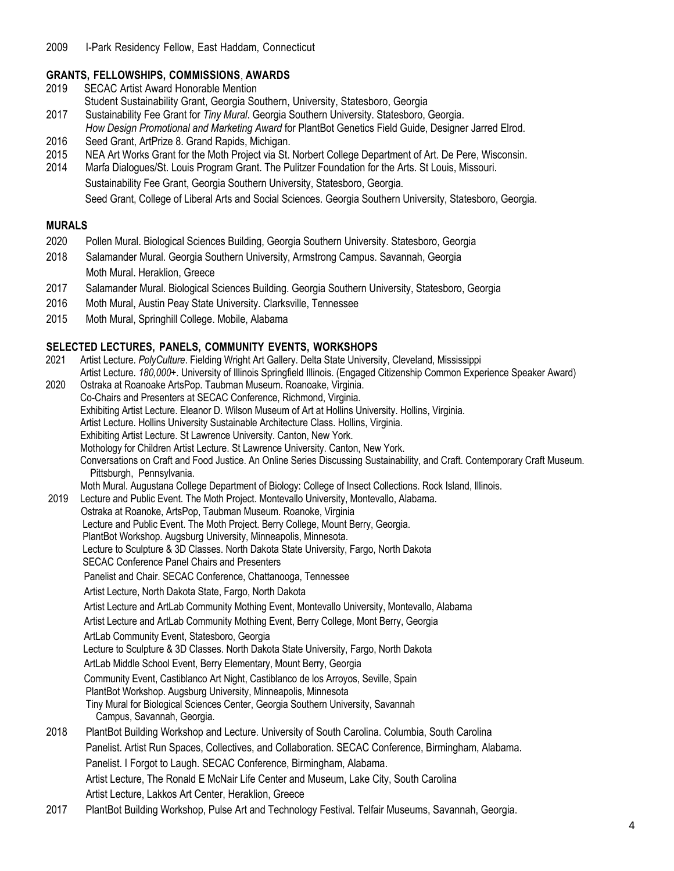# **GRANTS, FELLOWSHIPS, COMMISSIONS**, **AWARDS**

- 2019 SECAC Artist Award Honorable Mention Student Sustainability Grant, Georgia Southern, University, Statesboro, Georgia
- 2017 Sustainability Fee Grant for *Tiny Mural*. Georgia Southern University. Statesboro, Georgia.
- *How Design Promotional and Marketing Award* for PlantBot Genetics Field Guide, Designer Jarred Elrod. 2016 Seed Grant, ArtPrize 8. Grand Rapids, Michigan.
- 2015 NEA Art Works Grant for the Moth Project via St. Norbert College Department of Art. De Pere, Wisconsin.
- 2014 Marfa Dialogues/St. Louis Program Grant. The Pulitzer Foundation for the Arts. St Louis, Missouri. Sustainability Fee Grant, Georgia Southern University, Statesboro, Georgia. Seed Grant, College of Liberal Arts and Social Sciences. Georgia Southern University, Statesboro, Georgia.

### **MURALS**

- 2020 Pollen Mural. Biological Sciences Building, Georgia Southern University. Statesboro, Georgia
- 2018 Salamander Mural. Georgia Southern University, Armstrong Campus. Savannah, Georgia Moth Mural. Heraklion, Greece
- 2017 Salamander Mural. Biological Sciences Building. Georgia Southern University, Statesboro, Georgia
- 2016 Moth Mural, Austin Peay State University. Clarksville, Tennessee
- 2015 Moth Mural, Springhill College. Mobile, Alabama

### **SELECTED LECTURES, PANELS, COMMUNITY EVENTS, WORKSHOPS**

 2021 Artist Lecture. *PolyCulture*. Fielding Wright Art Gallery. Delta State University, Cleveland, Mississippi Artist Lecture. *180,000+.* University of Illinois Springfield Illinois. (Engaged Citizenship Common Experience Speaker Award) 2020 Ostraka at Roanoake ArtsPop. Taubman Museum. Roanoake, Virginia. Co-Chairs and Presenters at SECAC Conference, Richmond, Virginia. Exhibiting Artist Lecture. Eleanor D. Wilson Museum of Art at Hollins University. Hollins, Virginia. Artist Lecture. Hollins University Sustainable Architecture Class. Hollins, Virginia. Exhibiting Artist Lecture. St Lawrence University. Canton, New York. Mothology for Children Artist Lecture. St Lawrence University. Canton, New York. Conversations on Craft and Food Justice. An Online Series Discussing Sustainability, and Craft. Contemporary Craft Museum. Pittsburgh, Pennsylvania. Moth Mural. Augustana College Department of Biology: College of Insect Collections. Rock Island, Illinois. 2019 Lecture and Public Event. The Moth Project. Montevallo University, Montevallo, Alabama. Ostraka at Roanoke, ArtsPop, Taubman Museum. Roanoke, Virginia Lecture and Public Event. The Moth Project. Berry College, Mount Berry, Georgia. PlantBot Workshop. Augsburg University, Minneapolis, Minnesota. Lecture to Sculpture & 3D Classes. North Dakota State University, Fargo, North Dakota SECAC Conference Panel Chairs and Presenters Panelist and Chair. SECAC Conference, Chattanooga, Tennessee Artist Lecture, North Dakota State, Fargo, North Dakota Artist Lecture and ArtLab Community Mothing Event, Montevallo University, Montevallo, Alabama Artist Lecture and ArtLab Community Mothing Event, Berry College, Mont Berry, Georgia ArtLab Community Event, Statesboro, Georgia Lecture to Sculpture & 3D Classes. North Dakota State University, Fargo, North Dakota ArtLab Middle School Event, Berry Elementary, Mount Berry, Georgia Community Event, Castiblanco Art Night, Castiblanco de los Arroyos, Seville, Spain PlantBot Workshop. Augsburg University, Minneapolis, Minnesota Tiny Mural for Biological Sciences Center, Georgia Southern University, Savannah Campus, Savannah, Georgia. 2018 PlantBot Building Workshop and Lecture. University of South Carolina. Columbia, South Carolina Panelist. Artist Run Spaces, Collectives, and Collaboration. SECAC Conference, Birmingham, Alabama. Panelist. I Forgot to Laugh. SECAC Conference, Birmingham, Alabama. Artist Lecture, The Ronald E McNair Life Center and Museum, Lake City, South Carolina Artist Lecture, Lakkos Art Center, Heraklion, Greece 2017 PlantBot Building Workshop, Pulse Art and Technology Festival. Telfair Museums, Savannah, Georgia.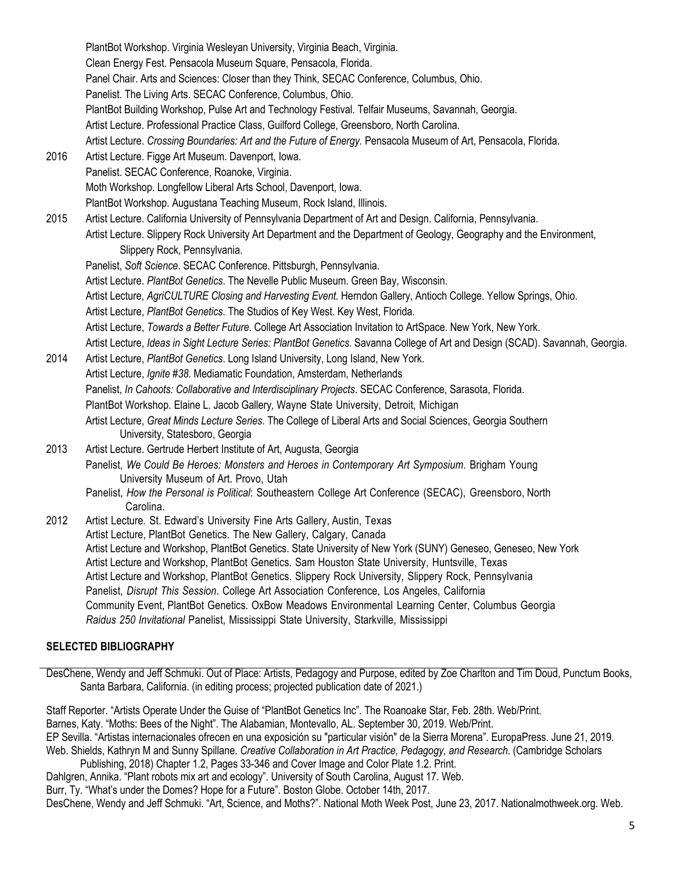PlantBot Workshop. Virginia Wesleyan University, Virginia Beach, Virginia. Clean Energy Fest. Pensacola Museum Square, Pensacola, Florida. Panel Chair. Arts and Sciences: Closer than they Think, SECAC Conference, Columbus, Ohio. Panelist. The Living Arts. SECAC Conference, Columbus, Ohio. PlantBot Building Workshop, Pulse Art and Technology Festival. Telfair Museums, Savannah, Georgia. Artist Lecture. Professional Practice Class, Guilford College, Greensboro, North Carolina. Artist Lecture. *Crossing Boundaries: Art and the Future of Energy.* Pensacola Museum of Art, Pensacola, Florida. 2016 Artist Lecture. Figge Art Museum. Davenport, Iowa. Panelist. SECAC Conference, Roanoke, Virginia. Moth Workshop. Longfellow Liberal Arts School, Davenport, Iowa. PlantBot Workshop. Augustana Teaching Museum, Rock Island, Illinois. 2015 Artist Lecture. California University of Pennsylvania Department of Art and Design. California, Pennsylvania. Artist Lecture. Slippery Rock University Art Department and the Department of Geology, Geography and the Environment, Slippery Rock, Pennsylvania. Panelist, *Soft Science*. SECAC Conference. Pittsburgh, Pennsylvania. Artist Lecture. *PlantBot Genetics*. The Nevelle Public Museum. Green Bay, Wisconsin. Artist Lecture, *AgriCULTURE Closing and Harvesting Event.* Herndon Gallery, Antioch College. Yellow Springs, Ohio. Artist Lecture, *PlantBot Genetics*. The Studios of Key West. Key West, Florida. Artist Lecture, *Towards a Better Future*. College Art Association Invitation to ArtSpace. New York, New York. Artist Lecture, *Ideas in Sight Lecture Series: PlantBot Genetics*. Savanna College of Art and Design (SCAD). Savannah, Georgia. 2014 Artist Lecture, *PlantBot Genetics*. Long Island University, Long Island, New York. Artist Lecture, *Ignite #38*. Mediamatic Foundation, Amsterdam, Netherlands Panelist, *In Cahoots: Collaborative and Interdisciplinary Projects*. SECAC Conference, Sarasota, Florida. PlantBot Workshop*.* Elaine L. Jacob Gallery*,* Wayne State University, Detroit, Michigan Artist Lecture, *Great Minds Lecture Series*. The College of Liberal Arts and Social Sciences, Georgia Southern University, Statesboro, Georgia 2013 Artist Lecture. Gertrude Herbert Institute of Art, Augusta, Georgia Panelist, *We Could Be Heroes: Monsters and Heroes in Contemporary Art Symposium*. Brigham Young University Museum of Art. Provo, Utah Panelist, *How the Personal is Political*: Southeastern College Art Conference (SECAC), Greensboro, North Carolina. 2012 Artist Lecture*.* St. Edward's University Fine Arts Gallery, Austin, Texas Artist Lecture, PlantBot Genetics. The New Gallery, Calgary, Canada Artist Lecture and Workshop, PlantBot Genetics. State University of New York (SUNY) Geneseo, Geneseo, New York Artist Lecture and Workshop, PlantBot Genetics. Sam Houston State University, Huntsville, Texas Artist Lecture and Workshop, PlantBot Genetics. Slippery Rock University, Slippery Rock, Pennsylvania Panelist, *Disrupt This Session*. College Art Association Conference, Los Angeles, California Community Event, PlantBot Genetics. OxBow Meadows Environmental Learning Center, Columbus Georgia *Raidus 250 Invitational* Panelist, Mississippi State University, Starkville, Mississippi

#### **SELECTED BIBLIOGRAPHY**

DesChene, Wendy and Jeff Schmuki. Out of Place: Artists, Pedagogy and Purpose, edited by Zoe Charlton and Tim Doud, Punctum Books, Santa Barbara, California. (in editing process; projected publication date of 2021.)

Staff Reporter. "Artists Operate Under the Guise of "PlantBot Genetics Inc". The Roanoake Star, Feb. 28th. Web/Print. Barnes, Katy. "Moths: Bees of the Night". The Alabamian, Montevallo, AL. September 30, 2019. Web/Print. EP Sevilla. "Artistas internacionales ofrecen en una exposición su "particular visión" de la Sierra Morena". EuropaPress. June 21, 2019. Web. Shields, Kathryn M and Sunny Spillane*. Creative Collaboration in Art Practice, Pedagogy, and Research*. (Cambridge Scholars

Publishing, 2018) Chapter 1.2, Pages 33-346 and Cover Image and Color Plate 1.2. Print. Dahlgren, Annika. "Plant robots mix art and ecology". University of South Carolina, August 17. Web.

Burr, Ty. "What's under the Domes? Hope for a Future". Boston Globe. October 14th, 2017.

DesChene, Wendy and Jeff Schmuki. "Art, Science, and Moths?". National Moth Week Post, June 23, 2017. Nationalmothweek.org. Web.

5